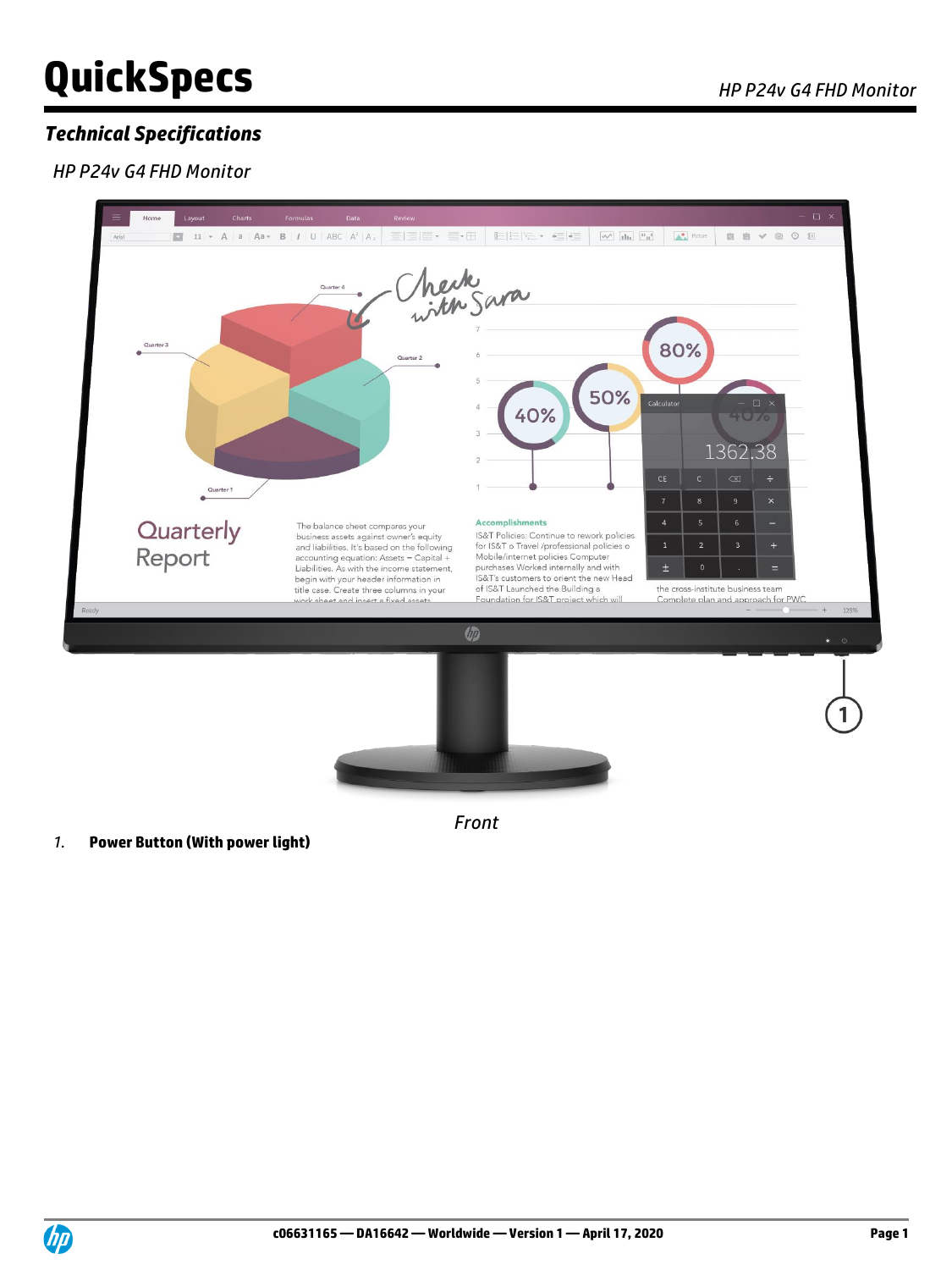## *Technical Specifications*

### *HP P24v G4 FHD Monitor*

*1.* **Power Button (With power light)**



*Front*

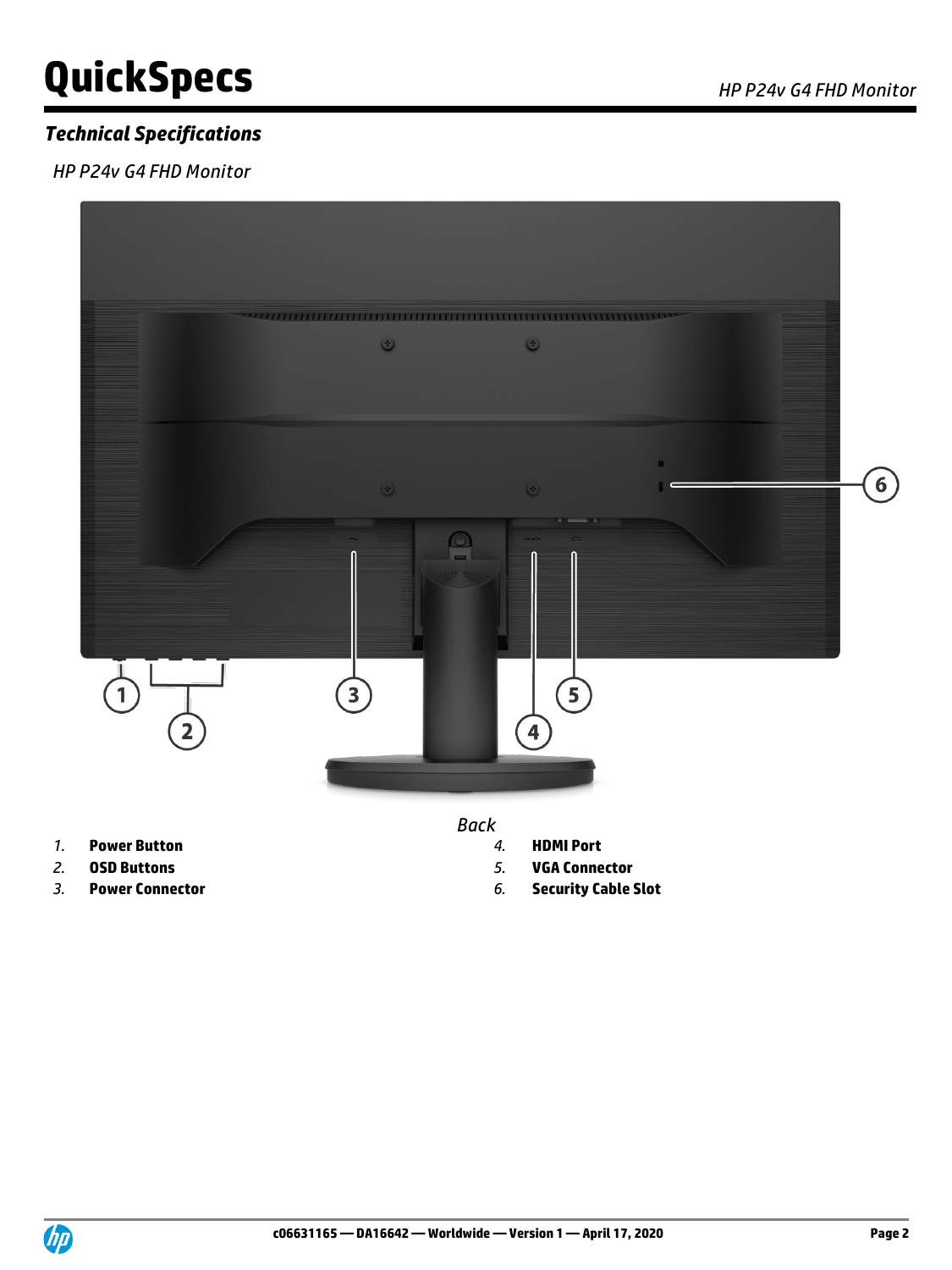### *Technical Specifications*

*HP P24v G4 FHD Monitor*



*Back*

- 
- 
- 
- *1.* **Power Button** *4.* **HDMI Port**
- *2.* **OSD Buttons** *5.* **VGA Connector**
- *3.* **Power Connector** *6.* **Security Cable Slot**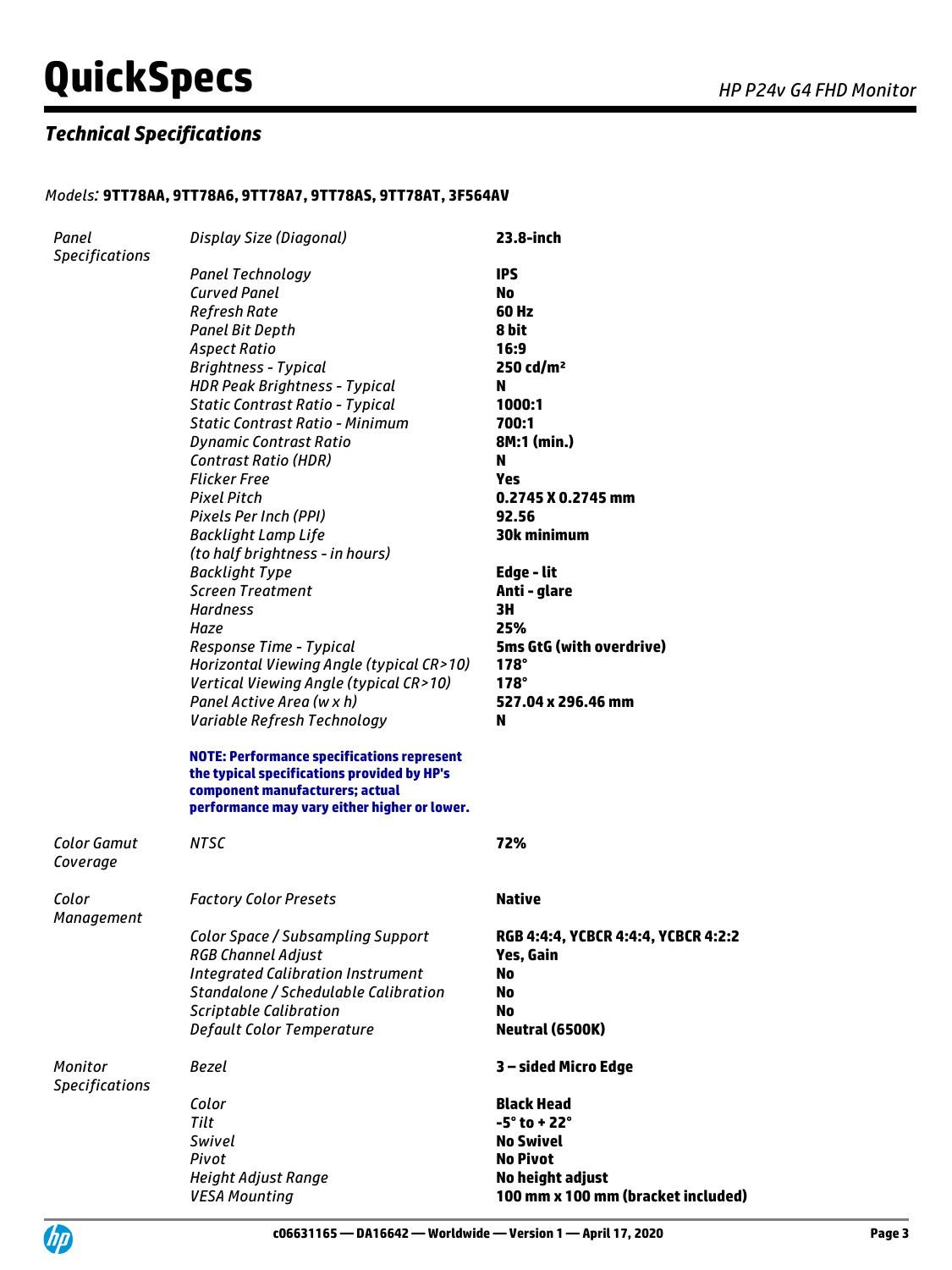### *Technical Specifications*

### *Models:* **9TT78AA, 9TT78A6, 9TT78A7, 9TT78AS, 9TT78AT, 3F564AV**

| Panel                            | Display Size (Diagonal)                                                                                                                                                             | 23.8-inch                           |
|----------------------------------|-------------------------------------------------------------------------------------------------------------------------------------------------------------------------------------|-------------------------------------|
| <b>Specifications</b>            |                                                                                                                                                                                     |                                     |
|                                  | <b>Panel Technology</b>                                                                                                                                                             | <b>IPS</b>                          |
|                                  | <b>Curved Panel</b>                                                                                                                                                                 | No                                  |
|                                  | Refresh Rate                                                                                                                                                                        | 60 Hz                               |
|                                  | <b>Panel Bit Depth</b>                                                                                                                                                              | 8 bit                               |
|                                  | <b>Aspect Ratio</b>                                                                                                                                                                 | 16:9                                |
|                                  | <b>Brightness - Typical</b>                                                                                                                                                         | $250 \text{ cd/m}^2$                |
|                                  | <b>HDR Peak Brightness - Typical</b>                                                                                                                                                | N                                   |
|                                  | <b>Static Contrast Ratio - Typical</b>                                                                                                                                              | 1000:1                              |
|                                  | <b>Static Contrast Ratio - Minimum</b>                                                                                                                                              | 700:1                               |
|                                  | <b>Dynamic Contrast Ratio</b>                                                                                                                                                       | 8M:1 (min.)                         |
|                                  | <b>Contrast Ratio (HDR)</b>                                                                                                                                                         | N                                   |
|                                  | <b>Flicker Free</b>                                                                                                                                                                 | Yes                                 |
|                                  | <b>Pixel Pitch</b>                                                                                                                                                                  | 0.2745 X 0.2745 mm                  |
|                                  | Pixels Per Inch (PPI)                                                                                                                                                               | 92.56                               |
|                                  | <b>Backlight Lamp Life</b>                                                                                                                                                          | <b>30k minimum</b>                  |
|                                  | (to half brightness - in hours)                                                                                                                                                     |                                     |
|                                  | <b>Backlight Type</b>                                                                                                                                                               | Edge - lit                          |
|                                  | <b>Screen Treatment</b>                                                                                                                                                             | Anti - glare                        |
|                                  | <b>Hardness</b>                                                                                                                                                                     | 3H                                  |
|                                  | Haze                                                                                                                                                                                | 25%                                 |
|                                  | Response Time - Typical                                                                                                                                                             | 5ms GtG (with overdrive)            |
|                                  | Horizontal Viewing Angle (typical CR>10)                                                                                                                                            | $178^\circ$                         |
|                                  | Vertical Viewing Angle (typical CR>10)                                                                                                                                              | $178^\circ$                         |
|                                  | Panel Active Area (w x h)                                                                                                                                                           | 527.04 x 296.46 mm                  |
|                                  | Variable Refresh Technology                                                                                                                                                         | N                                   |
|                                  | <b>NOTE: Performance specifications represent</b><br>the typical specifications provided by HP's<br>component manufacturers; actual<br>performance may vary either higher or lower. |                                     |
| <b>Color Gamut</b><br>Coverage   | <b>NTSC</b>                                                                                                                                                                         | 72%                                 |
| Color<br>Management              | <b>Factory Color Presets</b>                                                                                                                                                        | <b>Native</b>                       |
|                                  | Color Space / Subsampling Support                                                                                                                                                   | RGB 4:4:4, YCBCR 4:4:4, YCBCR 4:2:2 |
|                                  | <b>RGB Channel Adjust</b>                                                                                                                                                           | Yes, Gain                           |
|                                  | <b>Integrated Calibration Instrument</b>                                                                                                                                            | No                                  |
|                                  | Standalone / Schedulable Calibration                                                                                                                                                | No                                  |
|                                  | <b>Scriptable Calibration</b>                                                                                                                                                       | No                                  |
|                                  | Default Color Temperature                                                                                                                                                           | Neutral (6500K)                     |
| Monitor<br><b>Specifications</b> | Bezel                                                                                                                                                                               | 3 - sided Micro Edge                |
|                                  | Color                                                                                                                                                                               | <b>Black Head</b>                   |
|                                  | Tilt                                                                                                                                                                                | $-5^\circ$ to + 22 $^\circ$         |
|                                  | <b>Swivel</b>                                                                                                                                                                       | <b>No Swivel</b>                    |
|                                  | Pivot                                                                                                                                                                               | <b>No Pivot</b>                     |
|                                  | <b>Height Adjust Range</b>                                                                                                                                                          | No height adjust                    |
|                                  | <b>VESA Mounting</b>                                                                                                                                                                | 100 mm x 100 mm (bracket included)  |

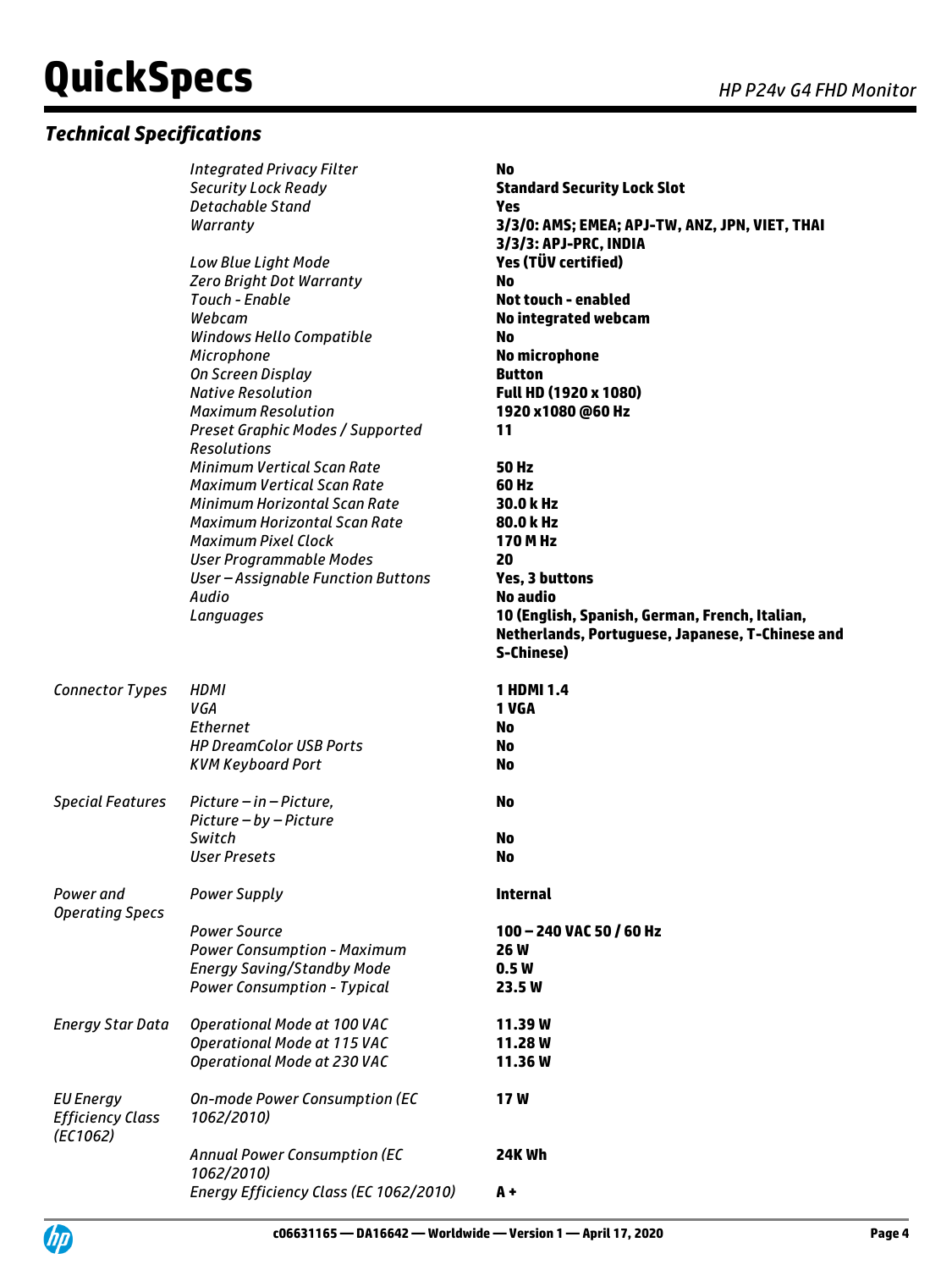### *Technical Specifications*

|                                                         | <b>Integrated Privacy Filter</b><br><b>Security Lock Ready</b><br><b>Detachable Stand</b><br>Warranty                                | <b>No</b><br><b>Standard Security Lock Slot</b><br><b>Yes</b><br>3/3/0: AMS; EMEA; APJ-TW, ANZ, JPN, VIET, THAI  |
|---------------------------------------------------------|--------------------------------------------------------------------------------------------------------------------------------------|------------------------------------------------------------------------------------------------------------------|
|                                                         | Low Blue Light Mode<br><b>Zero Bright Dot Warranty</b><br>Touch - Enable<br>Webcam                                                   | 3/3/3: APJ-PRC, INDIA<br>Yes (TÜV certified)<br><b>No</b><br><b>Not touch - enabled</b><br>No integrated webcam  |
|                                                         | Windows Hello Compatible<br>Microphone<br>On Screen Display<br><b>Native Resolution</b>                                              | <b>No</b><br><b>No microphone</b><br><b>Button</b><br>Full HD (1920 x 1080)                                      |
|                                                         | <b>Maximum Resolution</b><br>Preset Graphic Modes / Supported<br><b>Resolutions</b><br><b>Minimum Vertical Scan Rate</b>             | 1920 x1080 @60 Hz<br>11<br><b>50 Hz</b>                                                                          |
|                                                         | <b>Maximum Vertical Scan Rate</b><br>Minimum Horizontal Scan Rate<br>Maximum Horizontal Scan Rate                                    | 60 Hz<br>30.0 kHz<br>80.0 kHz                                                                                    |
|                                                         | <b>Maximum Pixel Clock</b><br><b>User Programmable Modes</b><br>User-Assignable Function Buttons<br>Audio                            | 170 M Hz<br>20<br><b>Yes, 3 buttons</b><br>No audio                                                              |
|                                                         | Languages                                                                                                                            | 10 (English, Spanish, German, French, Italian,<br>Netherlands, Portuguese, Japanese, T-Chinese and<br>S-Chinese) |
| <b>Connector Types</b>                                  | <b>HDMI</b><br>VGA<br><b>Ethernet</b><br><b>HP DreamColor USB Ports</b><br><b>KVM Keyboard Port</b>                                  | <b>1 HDMI 1.4</b><br>1 VGA<br>No<br>No<br><b>No</b>                                                              |
| <b>Special Features</b>                                 | Picture - in - Picture,<br>Picture - by - Picture                                                                                    | <b>No</b>                                                                                                        |
|                                                         | Switch<br><b>User Presets</b>                                                                                                        | <b>No</b><br><b>No</b>                                                                                           |
| Power and<br><b>Operating Specs</b>                     | <b>Power Supply</b>                                                                                                                  | <b>Internal</b>                                                                                                  |
|                                                         | <b>Power Source</b><br><b>Power Consumption - Maximum</b><br><b>Energy Saving/Standby Mode</b><br><b>Power Consumption - Typical</b> | 100 - 240 VAC 50 / 60 Hz<br><b>26W</b><br>0.5W<br>23.5 W                                                         |
| <b>Energy Star Data</b>                                 | Operational Mode at 100 VAC<br>Operational Mode at 115 VAC<br>Operational Mode at 230 VAC                                            | 11.39W<br>11.28W<br>11.36W                                                                                       |
| <b>EU Energy</b><br><b>Efficiency Class</b><br>(EC1062) | On-mode Power Consumption (EC<br>1062/2010)                                                                                          | 17W                                                                                                              |
|                                                         | <b>Annual Power Consumption (EC</b><br>1062/2010)                                                                                    | <b>24K Wh</b>                                                                                                    |
|                                                         | Energy Efficiency Class (EC 1062/2010)                                                                                               | $A +$                                                                                                            |

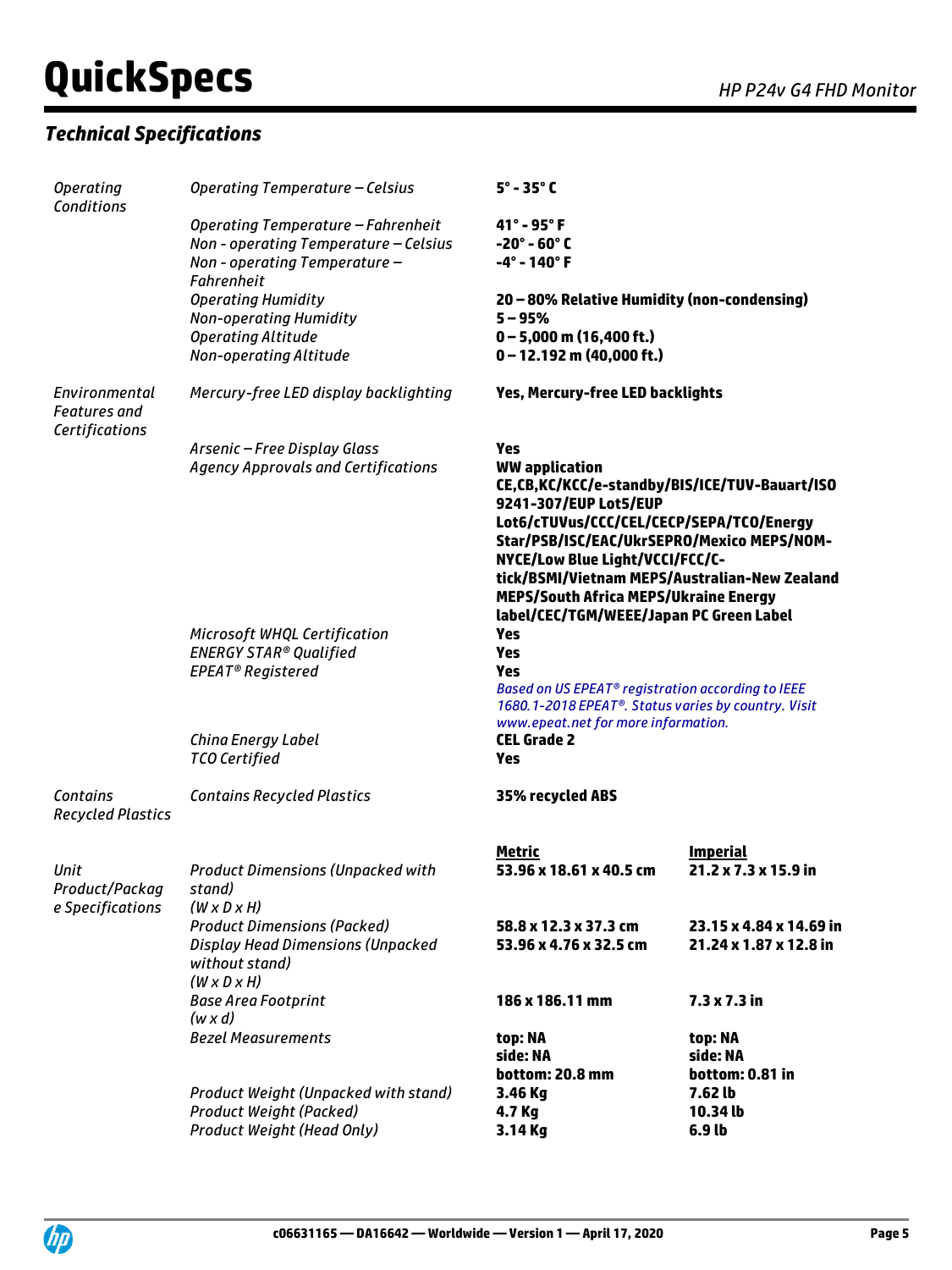## *Technical Specifications*

| <b>Operating</b><br>Conditions                         | Operating Temperature - Celsius                                                                                                   | $5^\circ$ - 35 $^\circ$ C                                                                                                                                                                                                                                                                                                                                                       |                                                   |
|--------------------------------------------------------|-----------------------------------------------------------------------------------------------------------------------------------|---------------------------------------------------------------------------------------------------------------------------------------------------------------------------------------------------------------------------------------------------------------------------------------------------------------------------------------------------------------------------------|---------------------------------------------------|
|                                                        | Operating Temperature - Fahrenheit<br>Non - operating Temperature - Celsius<br>Non - operating Temperature -<br><b>Fahrenheit</b> | $41^\circ$ - 95 $^\circ$ F<br>$-20^\circ - 60^\circ C$<br>$-4^{\circ}$ - 140 $^{\circ}$ F                                                                                                                                                                                                                                                                                       |                                                   |
|                                                        | <b>Operating Humidity</b><br><b>Non-operating Humidity</b><br><b>Operating Altitude</b><br>Non-operating Altitude                 | 20 - 80% Relative Humidity (non-condensing)<br>$5 - 95%$<br>$0 - 5,000$ m (16,400 ft.)<br>$0 - 12.192$ m (40,000 ft.)                                                                                                                                                                                                                                                           |                                                   |
| Environmental<br><b>Features</b> and<br>Certifications | Mercury-free LED display backlighting                                                                                             | Yes, Mercury-free LED backlights                                                                                                                                                                                                                                                                                                                                                |                                                   |
|                                                        | Arsenic - Free Display Glass<br><b>Agency Approvals and Certifications</b>                                                        | Yes<br><b>WW application</b><br>CE,CB,KC/KCC/e-standby/BIS/ICE/TUV-Bauart/ISO<br>9241-307/EUP Lot5/EUP<br>Lot6/cTUVus/CCC/CEL/CECP/SEPA/TCO/Energy<br>Star/PSB/ISC/EAC/UkrSEPRO/Mexico MEPS/NOM-<br>NYCE/Low Blue Light/VCCI/FCC/C-<br>tick/BSMI/Vietnam MEPS/Australian-New Zealand<br><b>MEPS/South Africa MEPS/Ukraine Energy</b><br>label/CEC/TGM/WEEE/Japan PC Green Label |                                                   |
|                                                        | Microsoft WHQL Certification<br><b>ENERGY STAR® Qualified</b><br>EPEAT <sup>®</sup> Registered                                    | Yes<br><b>Yes</b><br>Yes<br>Based on US EPEAT <sup>®</sup> registration according to IEEE<br>1680.1-2018 EPEAT®. Status varies by country. Visit<br>www.epeat.net for more information.                                                                                                                                                                                         |                                                   |
|                                                        | China Energy Label<br><b>TCO Certified</b>                                                                                        | <b>CEL Grade 2</b><br>Yes                                                                                                                                                                                                                                                                                                                                                       |                                                   |
| Contains<br><b>Recycled Plastics</b>                   | <b>Contains Recycled Plastics</b>                                                                                                 | 35% recycled ABS                                                                                                                                                                                                                                                                                                                                                                |                                                   |
| Unit<br>Product/Packag<br>e Specifications             | <b>Product Dimensions (Unpacked with</b><br>stand)<br>$(W \times D \times H)$                                                     | <b>Metric</b><br>53.96 x 18.61 x 40.5 cm                                                                                                                                                                                                                                                                                                                                        | <u>Imperial</u><br>21.2 x 7.3 x 15.9 in           |
|                                                        | <b>Product Dimensions (Packed)</b><br><b>Display Head Dimensions (Unpacked</b><br>without stand)<br>$(W \times D \times H)$       | 58.8 x 12.3 x 37.3 cm<br>53.96 x 4.76 x 32.5 cm                                                                                                                                                                                                                                                                                                                                 | 23.15 x 4.84 x 14.69 in<br>21.24 x 1.87 x 12.8 in |
|                                                        | <b>Base Area Footprint</b><br>$(w \times d)$                                                                                      | 186 x 186.11 mm                                                                                                                                                                                                                                                                                                                                                                 | $7.3 \times 7.3$ in                               |
|                                                        | <b>Bezel Measurements</b>                                                                                                         | top: NA<br>side: NA<br>bottom: 20.8 mm                                                                                                                                                                                                                                                                                                                                          | top: NA<br>side: NA<br>bottom: 0.81 in            |
|                                                        | Product Weight (Unpacked with stand)<br>Product Weight (Packed)<br>Product Weight (Head Only)                                     | 3.46 Kg<br>4.7 Kg<br>3.14 Kg                                                                                                                                                                                                                                                                                                                                                    | 7.62 lb<br>10.34 lb<br>6.9 lb                     |

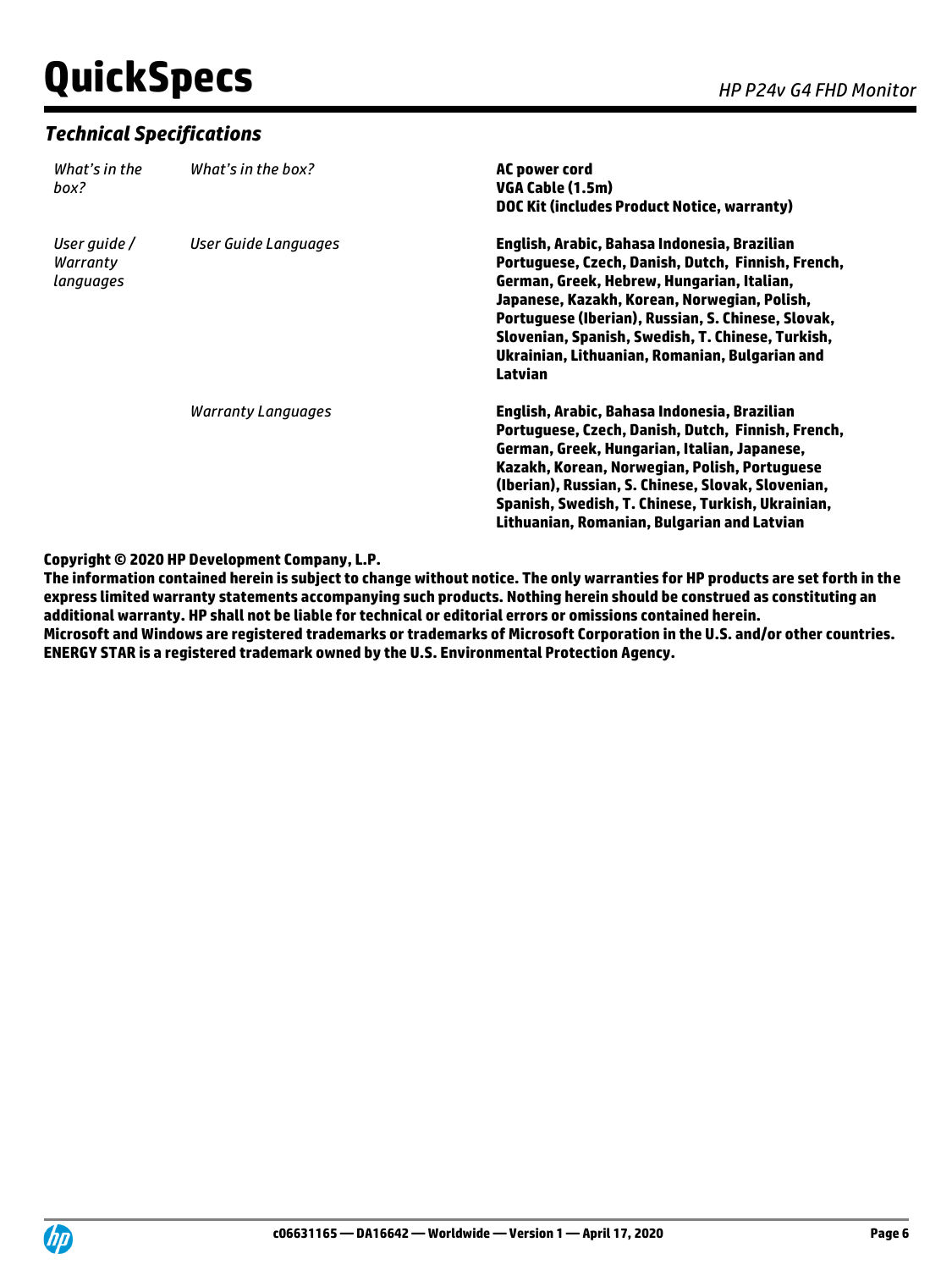### *Technical Specifications*

| What's in the<br>box?                 | What's in the box?        | AC power cord<br>VGA Cable (1.5m)<br>DOC Kit (includes Product Notice, warranty)                                                                                                                                                                                                                                                                                         |
|---------------------------------------|---------------------------|--------------------------------------------------------------------------------------------------------------------------------------------------------------------------------------------------------------------------------------------------------------------------------------------------------------------------------------------------------------------------|
| User quide /<br>Warranty<br>languages | User Guide Languages      | English, Arabic, Bahasa Indonesia, Brazilian<br>Portuguese, Czech, Danish, Dutch, Finnish, French,<br>German, Greek, Hebrew, Hungarian, Italian,<br>Japanese, Kazakh, Korean, Norwegian, Polish,<br>Portuguese (Iberian), Russian, S. Chinese, Slovak,<br>Slovenian, Spanish, Swedish, T. Chinese, Turkish,<br>Ukrainian, Lithuanian, Romanian, Bulgarian and<br>Latvian |
|                                       | <b>Warranty Languages</b> | English, Arabic, Bahasa Indonesia, Brazilian<br>Portuguese, Czech, Danish, Dutch, Finnish, French,<br>German, Greek, Hungarian, Italian, Japanese,<br>Kazakh, Korean, Norwegian, Polish, Portuguese<br>(Iberian), Russian, S. Chinese, Slovak, Slovenian,<br>Spanish, Swedish, T. Chinese, Turkish, Ukrainian,<br>Lithuanian, Romanian, Bulgarian and Latvian            |

### **Copyright © 2020 HP Development Company, L.P.**

**The information contained herein is subject to change without notice. The only warranties for HP products are set forth in the express limited warranty statements accompanying such products. Nothing herein should be construed as constituting an additional warranty. HP shall not be liable for technical or editorial errors or omissions contained herein.**

**Microsoft and Windows are registered trademarks or trademarks of Microsoft Corporation in the U.S. and/or other countries. ENERGY STAR is a registered trademark owned by the U.S. Environmental Protection Agency.**